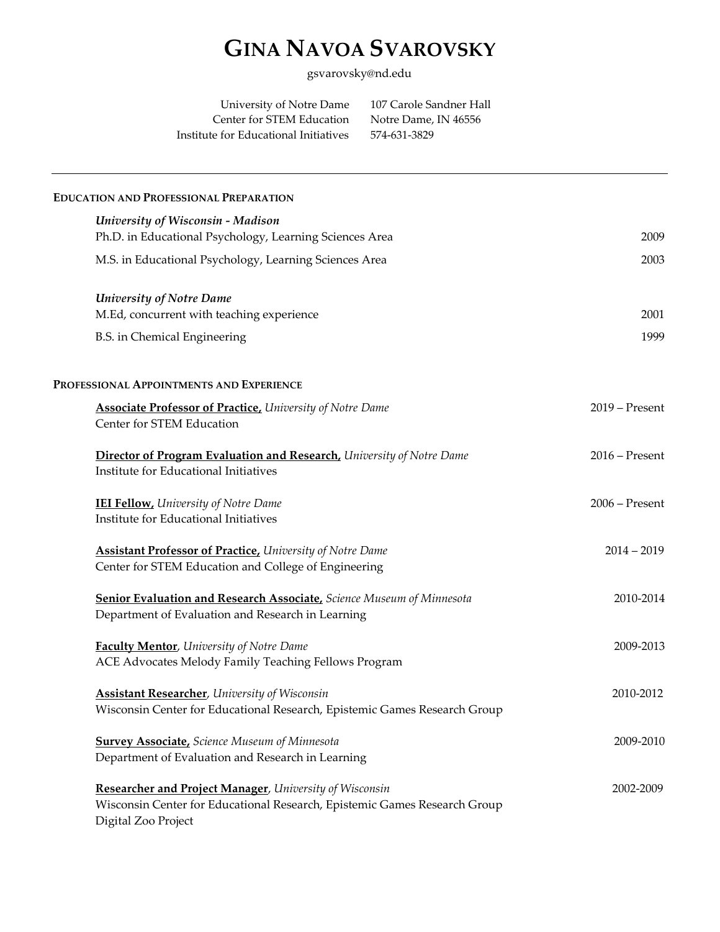# **GINA NAVOA SVAROVSKY**

gsvarovsky@nd.edu

| University of Notre Dame              | 107 Carole Sandner Hall |
|---------------------------------------|-------------------------|
| Center for STEM Education             | Notre Dame, IN 46556    |
| Institute for Educational Initiatives | 574-631-3829            |

| <b>EDUCATION AND PROFESSIONAL PREPARATION</b>                                                                                                               |                  |
|-------------------------------------------------------------------------------------------------------------------------------------------------------------|------------------|
| University of Wisconsin - Madison                                                                                                                           |                  |
| Ph.D. in Educational Psychology, Learning Sciences Area                                                                                                     | 2009             |
| M.S. in Educational Psychology, Learning Sciences Area                                                                                                      | 2003             |
| <b>University of Notre Dame</b>                                                                                                                             |                  |
| M.Ed, concurrent with teaching experience                                                                                                                   | 2001             |
| B.S. in Chemical Engineering                                                                                                                                | 1999             |
| PROFESSIONAL APPOINTMENTS AND EXPERIENCE                                                                                                                    |                  |
| <b>Associate Professor of Practice, University of Notre Dame</b><br>Center for STEM Education                                                               | $2019$ – Present |
| <b>Director of Program Evaluation and Research, University of Notre Dame</b><br>Institute for Educational Initiatives                                       | $2016$ – Present |
| <b>IEI Fellow</b> , University of Notre Dame<br>Institute for Educational Initiatives                                                                       | $2006$ – Present |
| <b>Assistant Professor of Practice, University of Notre Dame</b><br>Center for STEM Education and College of Engineering                                    | $2014 - 2019$    |
| Senior Evaluation and Research Associate, Science Museum of Minnesota<br>Department of Evaluation and Research in Learning                                  | 2010-2014        |
| Faculty Mentor, University of Notre Dame<br>ACE Advocates Melody Family Teaching Fellows Program                                                            | 2009-2013        |
| <b>Assistant Researcher</b> , University of Wisconsin<br>Wisconsin Center for Educational Research, Epistemic Games Research Group                          | 2010-2012        |
| <b>Survey Associate, Science Museum of Minnesota</b><br>Department of Evaluation and Research in Learning                                                   | 2009-2010        |
| Researcher and Project Manager, University of Wisconsin<br>Wisconsin Center for Educational Research, Epistemic Games Research Group<br>Digital Zoo Project | 2002-2009        |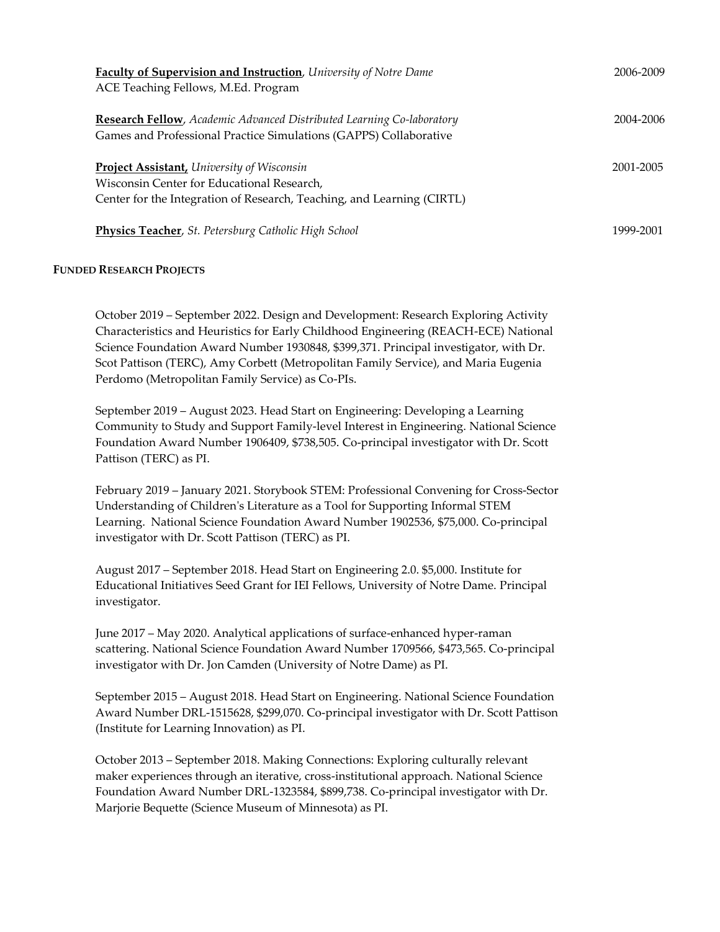| <b>Faculty of Supervision and Instruction</b> , University of Notre Dame<br>ACE Teaching Fellows, M.Ed. Program                                                           | 2006-2009 |
|---------------------------------------------------------------------------------------------------------------------------------------------------------------------------|-----------|
| <b>Research Fellow</b> , Academic Advanced Distributed Learning Co-laboratory<br>Games and Professional Practice Simulations (GAPPS) Collaborative                        | 2004-2006 |
| <b>Project Assistant, University of Wisconsin</b><br>Wisconsin Center for Educational Research,<br>Center for the Integration of Research, Teaching, and Learning (CIRTL) | 2001-2005 |
| <b>Physics Teacher</b> , St. Petersburg Catholic High School                                                                                                              | 1999-2001 |

# **FUNDED RESEARCH PROJECTS**

October 2019 – September 2022. Design and Development: Research Exploring Activity Characteristics and Heuristics for Early Childhood Engineering (REACH-ECE) National Science Foundation Award Number 1930848, \$399,371. Principal investigator, with Dr. Scot Pattison (TERC), Amy Corbett (Metropolitan Family Service), and Maria Eugenia Perdomo (Metropolitan Family Service) as Co-PIs.

September 2019 – August 2023. Head Start on Engineering: Developing a Learning Community to Study and Support Family-level Interest in Engineering. National Science Foundation Award Number 1906409, \$738,505. Co-principal investigator with Dr. Scott Pattison (TERC) as PI.

February 2019 – January 2021. Storybook STEM: Professional Convening for Cross-Sector Understanding of Children's Literature as a Tool for Supporting Informal STEM Learning. National Science Foundation Award Number 1902536, \$75,000. Co-principal investigator with Dr. Scott Pattison (TERC) as PI.

August 2017 – September 2018. Head Start on Engineering 2.0. \$5,000. Institute for Educational Initiatives Seed Grant for IEI Fellows, University of Notre Dame. Principal investigator.

June 2017 – May 2020. Analytical applications of surface-enhanced hyper-raman scattering. National Science Foundation Award Number 1709566, \$473,565. Co-principal investigator with Dr. Jon Camden (University of Notre Dame) as PI.

September 2015 – August 2018. Head Start on Engineering. National Science Foundation Award Number DRL-1515628, \$299,070. Co-principal investigator with Dr. Scott Pattison (Institute for Learning Innovation) as PI.

October 2013 – September 2018. Making Connections: Exploring culturally relevant maker experiences through an iterative, cross-institutional approach. National Science Foundation Award Number DRL-1323584, \$899,738. Co-principal investigator with Dr. Marjorie Bequette (Science Museum of Minnesota) as PI.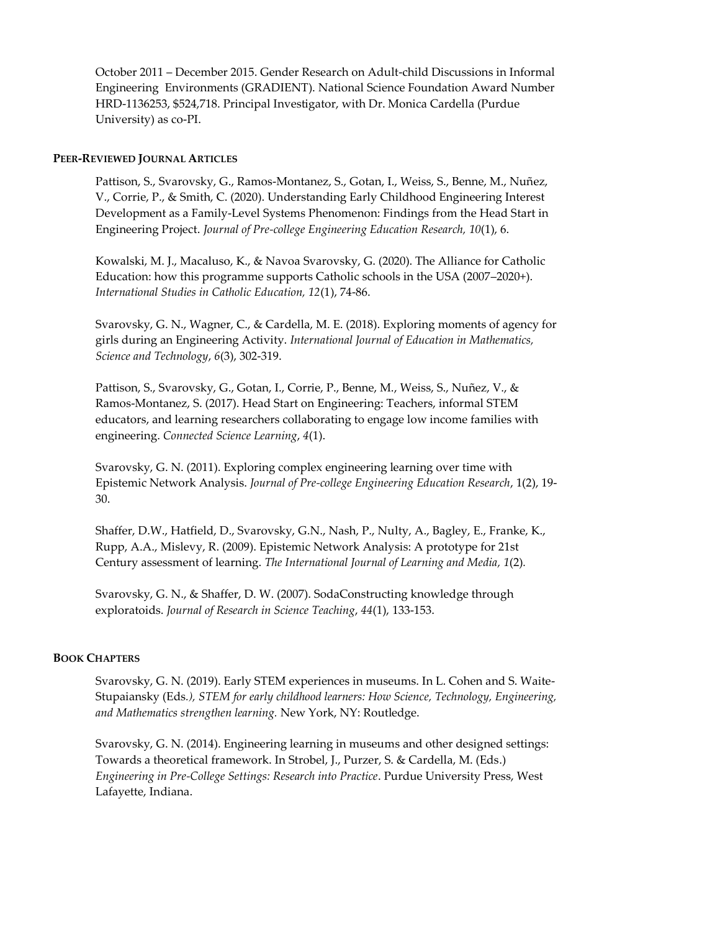October 2011 – December 2015. Gender Research on Adult-child Discussions in Informal Engineering Environments (GRADIENT). National Science Foundation Award Number HRD-1136253, \$524,718. Principal Investigator, with Dr. Monica Cardella (Purdue University) as co-PI.

#### **PEER-REVIEWED JOURNAL ARTICLES**

Pattison, S., Svarovsky, G., Ramos-Montanez, S., Gotan, I., Weiss, S., Benne, M., Nuñez, V., Corrie, P., & Smith, C. (2020). Understanding Early Childhood Engineering Interest Development as a Family-Level Systems Phenomenon: Findings from the Head Start in Engineering Project. *Journal of Pre-college Engineering Education Research, 10*(1), 6.

Kowalski, M. J., Macaluso, K., & Navoa Svarovsky, G. (2020). The Alliance for Catholic Education: how this programme supports Catholic schools in the USA (2007–2020+). *International Studies in Catholic Education, 12*(1), 74-86.

Svarovsky, G. N., Wagner, C., & Cardella, M. E. (2018). Exploring moments of agency for girls during an Engineering Activity. *International Journal of Education in Mathematics, Science and Technology*, *6*(3), 302-319.

Pattison, S., Svarovsky, G., Gotan, I., Corrie, P., Benne, M., Weiss, S., Nuñez, V., & Ramos-Montanez, S. (2017). Head Start on Engineering: Teachers, informal STEM educators, and learning researchers collaborating to engage low income families with engineering. *Connected Science Learning*, *4*(1).

Svarovsky, G. N. (2011). Exploring complex engineering learning over time with Epistemic Network Analysis. *Journal of Pre-college Engineering Education Research*, 1(2), 19- 30.

Shaffer, D.W., Hatfield, D., Svarovsky, G.N., Nash, P., Nulty, A., Bagley, E., Franke, K., Rupp, A.A., Mislevy, R. (2009). Epistemic Network Analysis: A prototype for 21st Century assessment of learning. *The International Journal of Learning and Media, 1*(2)*.*

Svarovsky, G. N., & Shaffer, D. W. (2007). SodaConstructing knowledge through exploratoids. *Journal of Research in Science Teaching*, *44*(1), 133-153.

#### **BOOK CHAPTERS**

Svarovsky, G. N. (2019). Early STEM experiences in museums. In L. Cohen and S. Waite-Stupaiansky (Eds*.), STEM for early childhood learners: How Science, Technology, Engineering, and Mathematics strengthen learning.* New York, NY: Routledge.

Svarovsky, G. N. (2014). Engineering learning in museums and other designed settings: Towards a theoretical framework. In Strobel, J., Purzer, S. & Cardella, M. (Eds.) *Engineering in Pre-College Settings: Research into Practice*. Purdue University Press, West Lafayette, Indiana.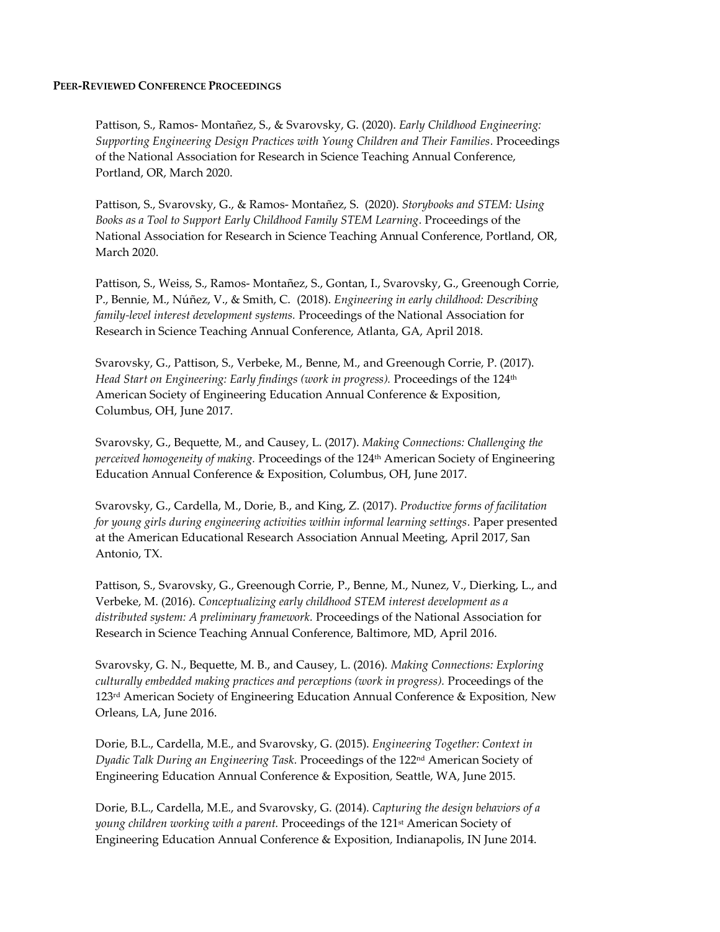#### **PEER-REVIEWED CONFERENCE PROCEEDINGS**

Pattison, S., Ramos- Montañez, S., & Svarovsky, G. (2020). *Early Childhood Engineering: Supporting Engineering Design Practices with Young Children and Their Families.* Proceedings of the National Association for Research in Science Teaching Annual Conference, Portland, OR, March 2020.

Pattison, S., Svarovsky, G., & Ramos- Montañez, S. (2020). *Storybooks and STEM: Using Books as a Tool to Support Early Childhood Family STEM Learning.* Proceedings of the National Association for Research in Science Teaching Annual Conference, Portland, OR, March 2020.

Pattison, S., Weiss, S., Ramos- Montañez, S., Gontan, I., Svarovsky, G., Greenough Corrie, P., Bennie, M., Núñez, V., & Smith, C. (2018). *Engineering in early childhood: Describing family-level interest development systems.* Proceedings of the National Association for Research in Science Teaching Annual Conference, Atlanta, GA, April 2018.

Svarovsky, G., Pattison, S., Verbeke, M., Benne, M., and Greenough Corrie, P. (2017). *Head Start on Engineering: Early findings (work in progress).* Proceedings of the 124<sup>th</sup> American Society of Engineering Education Annual Conference & Exposition, Columbus, OH, June 2017.

Svarovsky, G., Bequette, M., and Causey, L. (2017). *Making Connections: Challenging the perceived homogeneity of making.* Proceedings of the 124th American Society of Engineering Education Annual Conference & Exposition, Columbus, OH, June 2017.

Svarovsky, G., Cardella, M., Dorie, B., and King, Z. (2017). *Productive forms of facilitation for young girls during engineering activities within informal learning settings.* Paper presented at the American Educational Research Association Annual Meeting, April 2017, San Antonio, TX.

Pattison, S., Svarovsky, G., Greenough Corrie, P., Benne, M., Nunez, V., Dierking, L., and Verbeke, M. (2016). *Conceptualizing early childhood STEM interest development as a distributed system: A preliminary framework.* Proceedings of the National Association for Research in Science Teaching Annual Conference, Baltimore, MD, April 2016.

Svarovsky, G. N., Bequette, M. B., and Causey, L. (2016). *Making Connections: Exploring culturally embedded making practices and perceptions (work in progress).* Proceedings of the 123rd American Society of Engineering Education Annual Conference & Exposition*,* New Orleans, LA, June 2016.

Dorie, B.L., Cardella, M.E., and Svarovsky, G. (2015). *Engineering Together: Context in Dyadic Talk During an Engineering Task.* Proceedings of the 122nd American Society of Engineering Education Annual Conference & Exposition*,* Seattle, WA, June 2015.

Dorie, B.L., Cardella, M.E., and Svarovsky, G. (2014). *Capturing the design behaviors of a young children working with a parent.* Proceedings of the 121st American Society of Engineering Education Annual Conference & Exposition*,* Indianapolis, IN June 2014.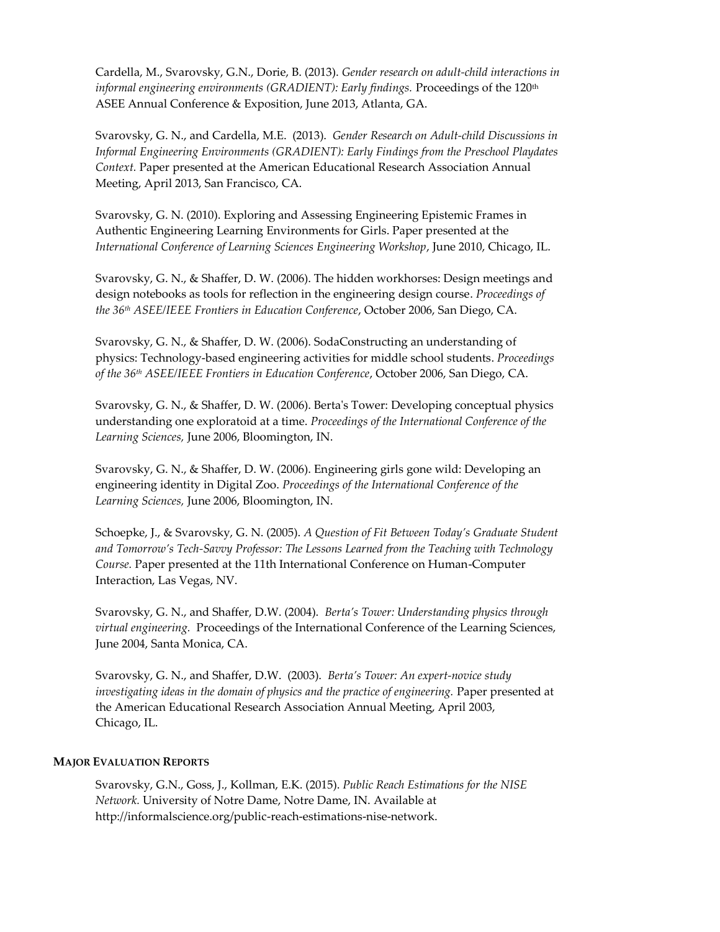Cardella, M., Svarovsky, G.N., Dorie, B. (2013). *Gender research on adult-child interactions in informal engineering environments (GRADIENT): Early findings. Proceedings of the 120<sup>th</sup>* ASEE Annual Conference & Exposition, June 2013, Atlanta, GA.

Svarovsky, G. N., and Cardella, M.E. (2013). *Gender Research on Adult-child Discussions in Informal Engineering Environments (GRADIENT): Early Findings from the Preschool Playdates Context.* Paper presented at the American Educational Research Association Annual Meeting, April 2013, San Francisco, CA.

Svarovsky, G. N. (2010). Exploring and Assessing Engineering Epistemic Frames in Authentic Engineering Learning Environments for Girls. Paper presented at the *International Conference of Learning Sciences Engineering Workshop*, June 2010, Chicago, IL.

Svarovsky, G. N., & Shaffer, D. W. (2006). The hidden workhorses: Design meetings and design notebooks as tools for reflection in the engineering design course. *Proceedings of the 36th ASEE/IEEE Frontiers in Education Conference*, October 2006, San Diego, CA.

Svarovsky, G. N., & Shaffer, D. W. (2006). SodaConstructing an understanding of physics: Technology-based engineering activities for middle school students. *Proceedings of the 36th ASEE/IEEE Frontiers in Education Conference*, October 2006, San Diego, CA.

Svarovsky, G. N., & Shaffer, D. W. (2006). Berta's Tower: Developing conceptual physics understanding one exploratoid at a time. *Proceedings of the International Conference of the Learning Sciences,* June 2006, Bloomington, IN.

Svarovsky, G. N., & Shaffer, D. W. (2006). Engineering girls gone wild: Developing an engineering identity in Digital Zoo. *Proceedings of the International Conference of the Learning Sciences,* June 2006, Bloomington, IN.

Schoepke, J., & Svarovsky, G. N. (2005). *A Question of Fit Between Today's Graduate Student and Tomorrow's Tech-Savvy Professor: The Lessons Learned from the Teaching with Technology Course.* Paper presented at the 11th International Conference on Human-Computer Interaction, Las Vegas, NV.

Svarovsky, G. N., and Shaffer, D.W. (2004). *Berta's Tower: Understanding physics through virtual engineering.* Proceedings of the International Conference of the Learning Sciences, June 2004, Santa Monica, CA.

Svarovsky, G. N., and Shaffer, D.W. (2003). *Berta's Tower: An expert-novice study investigating ideas in the domain of physics and the practice of engineering.* Paper presented at the American Educational Research Association Annual Meeting, April 2003, Chicago, IL.

#### **MAJOR EVALUATION REPORTS**

Svarovsky, G.N., Goss, J., Kollman, E.K. (2015). *Public Reach Estimations for the NISE Network.* University of Notre Dame, Notre Dame, IN. Available at http://informalscience.org/public-reach-estimations-nise-network.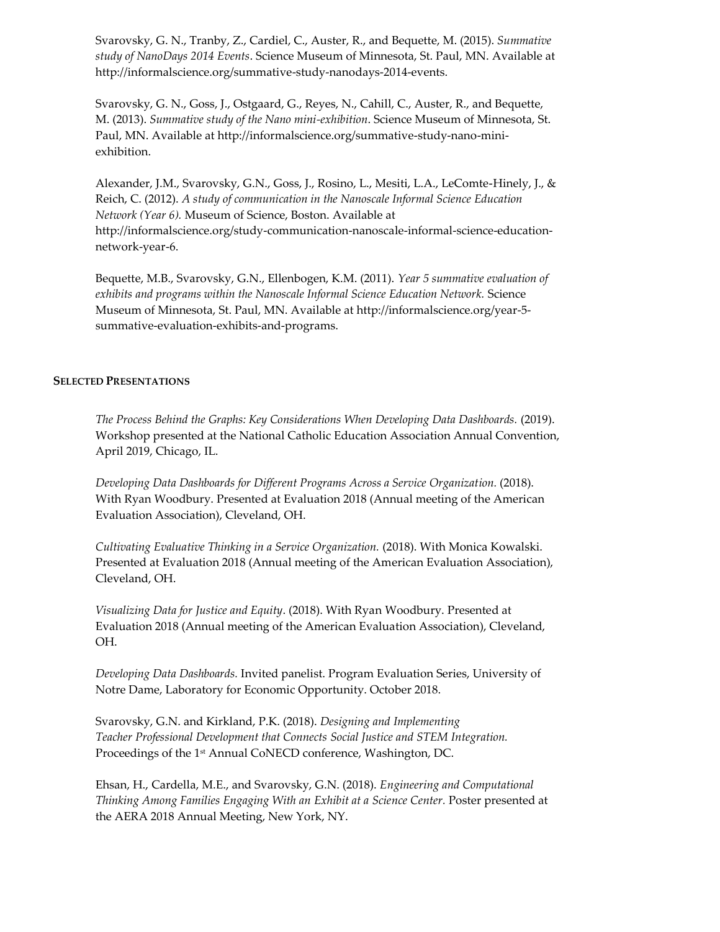Svarovsky, G. N., Tranby, Z., Cardiel, C., Auster, R., and Bequette, M. (2015). *Summative study of NanoDays 2014 Events*. Science Museum of Minnesota, St. Paul, MN. Available at http://informalscience.org/summative-study-nanodays-2014-events.

Svarovsky, G. N., Goss, J., Ostgaard, G., Reyes, N., Cahill, C., Auster, R., and Bequette, M. (2013). *Summative study of the Nano mini-exhibition*. Science Museum of Minnesota, St. Paul, MN. Available at http://informalscience.org/summative-study-nano-miniexhibition.

Alexander, J.M., Svarovsky, G.N., Goss, J., Rosino, L., Mesiti, L.A., LeComte-Hinely, J., & Reich, C. (2012). *A study of communication in the Nanoscale Informal Science Education Network (Year 6).* Museum of Science, Boston. Available at http://informalscience.org/study-communication-nanoscale-informal-science-educationnetwork-year-6.

Bequette, M.B., Svarovsky, G.N., Ellenbogen, K.M. (2011). *Year 5 summative evaluation of exhibits and programs within the Nanoscale Informal Science Education Network.* Science Museum of Minnesota, St. Paul, MN. Available at http://informalscience.org/year-5 summative-evaluation-exhibits-and-programs.

#### **SELECTED PRESENTATIONS**

*The Process Behind the Graphs: Key Considerations When Developing Data Dashboards.* (2019). Workshop presented at the National Catholic Education Association Annual Convention, April 2019, Chicago, IL.

*Developing Data Dashboards for Different Programs Across a Service Organization.* (2018). With Ryan Woodbury. Presented at Evaluation 2018 (Annual meeting of the American Evaluation Association), Cleveland, OH.

*Cultivating Evaluative Thinking in a Service Organization.* (2018). With Monica Kowalski. Presented at Evaluation 2018 (Annual meeting of the American Evaluation Association), Cleveland, OH.

*Visualizing Data for Justice and Equity*. (2018). With Ryan Woodbury. Presented at Evaluation 2018 (Annual meeting of the American Evaluation Association), Cleveland, OH.

*Developing Data Dashboards.* Invited panelist. Program Evaluation Series, University of Notre Dame, Laboratory for Economic Opportunity. October 2018.

Svarovsky, G.N. and Kirkland, P.K. (2018). *Designing and Implementing Teacher Professional Development that Connects Social Justice and STEM Integration.* Proceedings of the 1<sup>st</sup> Annual CoNECD conference, Washington, DC.

Ehsan, H., Cardella, M.E., and Svarovsky, G.N. (2018). *Engineering and Computational Thinking Among Families Engaging With an Exhibit at a Science Center.* Poster presented at the AERA 2018 Annual Meeting, New York, NY.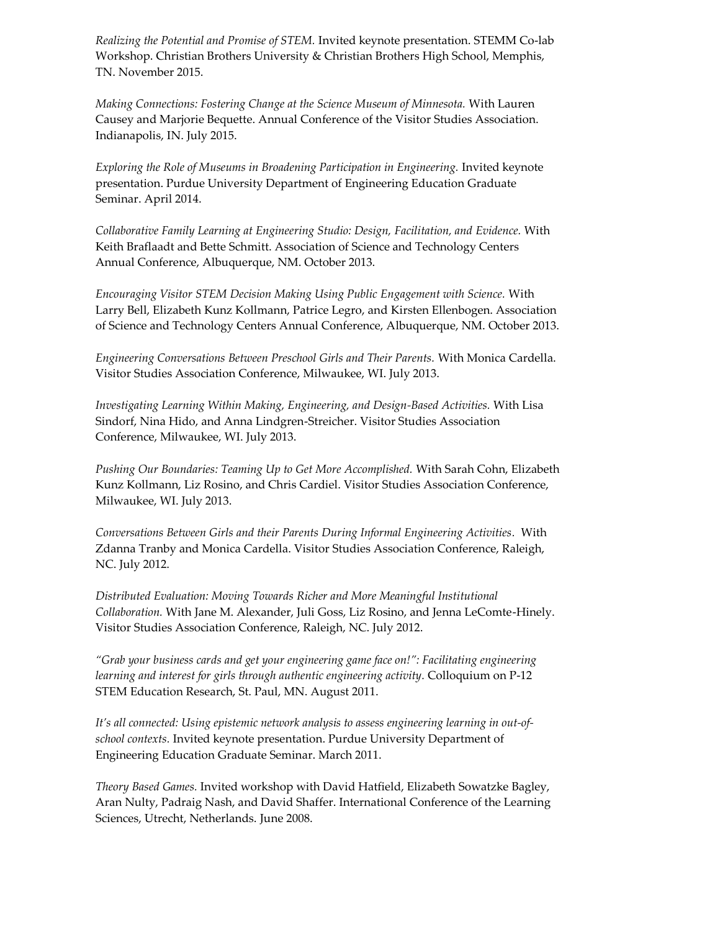*Realizing the Potential and Promise of STEM.* Invited keynote presentation. STEMM Co-lab Workshop. Christian Brothers University & Christian Brothers High School, Memphis, TN. November 2015.

*Making Connections: Fostering Change at the Science Museum of Minnesota.* With Lauren Causey and Marjorie Bequette. Annual Conference of the Visitor Studies Association. Indianapolis, IN. July 2015.

*Exploring the Role of Museums in Broadening Participation in Engineering. Invited keynote* presentation. Purdue University Department of Engineering Education Graduate Seminar. April 2014.

*Collaborative Family Learning at Engineering Studio: Design, Facilitation, and Evidence.* With Keith Braflaadt and Bette Schmitt. Association of Science and Technology Centers Annual Conference, Albuquerque, NM. October 2013.

*Encouraging Visitor STEM Decision Making Using Public Engagement with Science.* With Larry Bell, Elizabeth Kunz Kollmann, Patrice Legro, and Kirsten Ellenbogen. Association of Science and Technology Centers Annual Conference, Albuquerque, NM. October 2013.

*Engineering Conversations Between Preschool Girls and Their Parents.* With Monica Cardella. Visitor Studies Association Conference, Milwaukee, WI. July 2013.

*Investigating Learning Within Making, Engineering, and Design-Based Activities.* With Lisa Sindorf, Nina Hido, and Anna Lindgren-Streicher. Visitor Studies Association Conference, Milwaukee, WI. July 2013.

*Pushing Our Boundaries: Teaming Up to Get More Accomplished.* With Sarah Cohn, Elizabeth Kunz Kollmann, Liz Rosino, and Chris Cardiel. Visitor Studies Association Conference, Milwaukee, WI. July 2013.

*Conversations Between Girls and their Parents During Informal Engineering Activities.* With Zdanna Tranby and Monica Cardella. Visitor Studies Association Conference, Raleigh, NC. July 2012.

*Distributed Evaluation: Moving Towards Richer and More Meaningful Institutional Collaboration.* With Jane M. Alexander, Juli Goss, Liz Rosino, and Jenna LeComte-Hinely. Visitor Studies Association Conference, Raleigh, NC. July 2012.

*"Grab your business cards and get your engineering game face on!": Facilitating engineering learning and interest for girls through authentic engineering activity.* Colloquium on P-12 STEM Education Research, St. Paul, MN. August 2011.

*It's all connected: Using epistemic network analysis to assess engineering learning in out-ofschool contexts.* Invited keynote presentation. Purdue University Department of Engineering Education Graduate Seminar. March 2011.

*Theory Based Games.* Invited workshop with David Hatfield, Elizabeth Sowatzke Bagley, Aran Nulty, Padraig Nash, and David Shaffer. International Conference of the Learning Sciences, Utrecht, Netherlands. June 2008.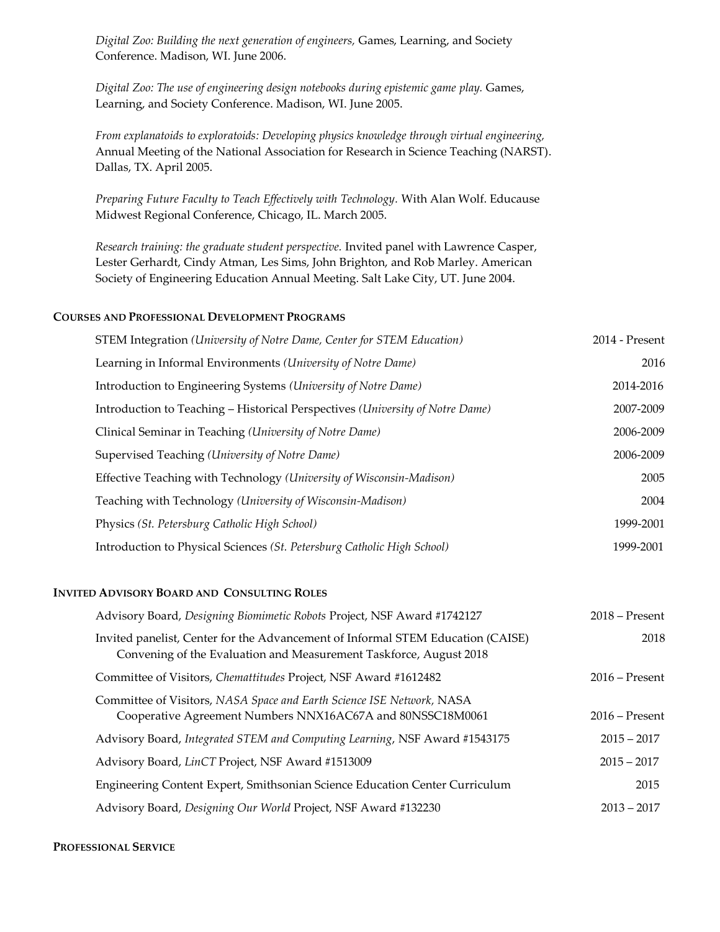*Digital Zoo: Building the next generation of engineers,* Games, Learning, and Society Conference. Madison, WI. June 2006.

*Digital Zoo: The use of engineering design notebooks during epistemic game play.* Games, Learning, and Society Conference. Madison, WI. June 2005.

*From explanatoids to exploratoids: Developing physics knowledge through virtual engineering,*  Annual Meeting of the National Association for Research in Science Teaching (NARST). Dallas, TX. April 2005.

*Preparing Future Faculty to Teach Effectively with Technology.* With Alan Wolf. Educause Midwest Regional Conference, Chicago, IL. March 2005.

*Research training: the graduate student perspective.* Invited panel with Lawrence Casper, Lester Gerhardt, Cindy Atman, Les Sims, John Brighton, and Rob Marley. American Society of Engineering Education Annual Meeting. Salt Lake City, UT. June 2004.

#### **COURSES AND PROFESSIONAL DEVELOPMENT PROGRAMS**

| STEM Integration (University of Notre Dame, Center for STEM Education)        | 2014 - Present |
|-------------------------------------------------------------------------------|----------------|
| Learning in Informal Environments (University of Notre Dame)                  | 2016           |
| Introduction to Engineering Systems (University of Notre Dame)                | 2014-2016      |
| Introduction to Teaching - Historical Perspectives (University of Notre Dame) | 2007-2009      |
| Clinical Seminar in Teaching (University of Notre Dame)                       | 2006-2009      |
| Supervised Teaching (University of Notre Dame)                                | 2006-2009      |
| Effective Teaching with Technology (University of Wisconsin-Madison)          | 2005           |
| Teaching with Technology (University of Wisconsin-Madison)                    | 2004           |
| Physics (St. Petersburg Catholic High School)                                 | 1999-2001      |
| Introduction to Physical Sciences (St. Petersburg Catholic High School)       | 1999-2001      |

#### **INVITED ADVISORY BOARD AND CONSULTING ROLES**

| Advisory Board, Designing Biomimetic Robots Project, NSF Award #1742127                                                                               | $2018$ – Present |
|-------------------------------------------------------------------------------------------------------------------------------------------------------|------------------|
| Invited panelist, Center for the Advancement of Informal STEM Education (CAISE)<br>Convening of the Evaluation and Measurement Taskforce, August 2018 | 2018             |
| Committee of Visitors, Chemattitudes Project, NSF Award #1612482                                                                                      | $2016$ – Present |
| Committee of Visitors, NASA Space and Earth Science ISE Network, NASA<br>Cooperative Agreement Numbers NNX16AC67A and 80NSSC18M0061                   | $2016$ – Present |
| Advisory Board, Integrated STEM and Computing Learning, NSF Award #1543175                                                                            | $2015 - 2017$    |
| Advisory Board, LinCT Project, NSF Award #1513009                                                                                                     | $2015 - 2017$    |
| Engineering Content Expert, Smithsonian Science Education Center Curriculum                                                                           | 2015             |
| Advisory Board, Designing Our World Project, NSF Award #132230                                                                                        | $2013 - 2017$    |

#### **PROFESSIONAL SERVICE**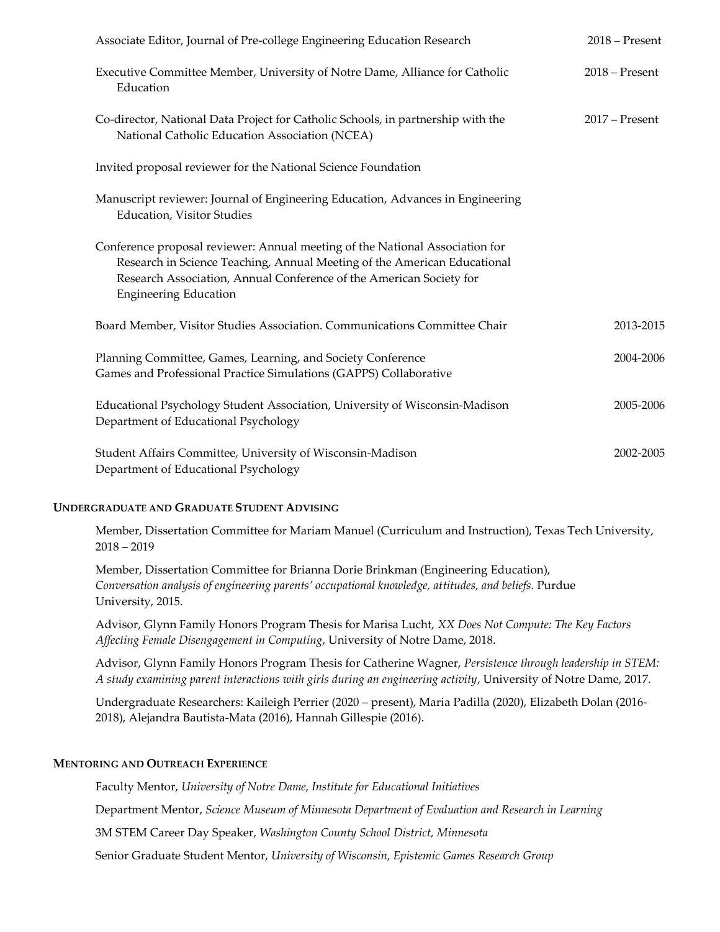| Associate Editor, Journal of Pre-college Engineering Education Research                                                                                                                                                                                         | $2018 -$ Present |
|-----------------------------------------------------------------------------------------------------------------------------------------------------------------------------------------------------------------------------------------------------------------|------------------|
| Executive Committee Member, University of Notre Dame, Alliance for Catholic<br>Education                                                                                                                                                                        | $2018 -$ Present |
| Co-director, National Data Project for Catholic Schools, in partnership with the<br>National Catholic Education Association (NCEA)                                                                                                                              | $2017$ – Present |
| Invited proposal reviewer for the National Science Foundation                                                                                                                                                                                                   |                  |
| Manuscript reviewer: Journal of Engineering Education, Advances in Engineering<br><b>Education, Visitor Studies</b>                                                                                                                                             |                  |
| Conference proposal reviewer: Annual meeting of the National Association for<br>Research in Science Teaching, Annual Meeting of the American Educational<br>Research Association, Annual Conference of the American Society for<br><b>Engineering Education</b> |                  |
| Board Member, Visitor Studies Association. Communications Committee Chair                                                                                                                                                                                       | 2013-2015        |
| Planning Committee, Games, Learning, and Society Conference<br>Games and Professional Practice Simulations (GAPPS) Collaborative                                                                                                                                | 2004-2006        |
| Educational Psychology Student Association, University of Wisconsin-Madison<br>Department of Educational Psychology                                                                                                                                             | 2005-2006        |
| Student Affairs Committee, University of Wisconsin-Madison<br>Department of Educational Psychology                                                                                                                                                              | 2002-2005        |

## **UNDERGRADUATE AND GRADUATE STUDENT ADVISING**

Member, Dissertation Committee for Mariam Manuel (Curriculum and Instruction), Texas Tech University, 2018 – 2019

Member, Dissertation Committee for Brianna Dorie Brinkman (Engineering Education), *Conversation analysis of engineering parents' occupational knowledge, attitudes, and beliefs.* Purdue University, 2015.

Advisor, Glynn Family Honors Program Thesis for Marisa Lucht, *XX Does Not Compute: The Key Factors Affecting Female Disengagement in Computing*, University of Notre Dame, 2018.

Advisor, Glynn Family Honors Program Thesis for Catherine Wagner, *Persistence through leadership in STEM: A study examining parent interactions with girls during an engineering activity*, University of Notre Dame, 2017.

Undergraduate Researchers: Kaileigh Perrier (2020 – present), Maria Padilla (2020), Elizabeth Dolan (2016- 2018), Alejandra Bautista-Mata (2016), Hannah Gillespie (2016).

# **MENTORING AND OUTREACH EXPERIENCE**

Faculty Mentor, *University of Notre Dame, Institute for Educational Initiatives*

Department Mentor, *Science Museum of Minnesota Department of Evaluation and Research in Learning*

3M STEM Career Day Speaker, *Washington County School District, Minnesota*

Senior Graduate Student Mentor, *University of Wisconsin, Epistemic Games Research Group*